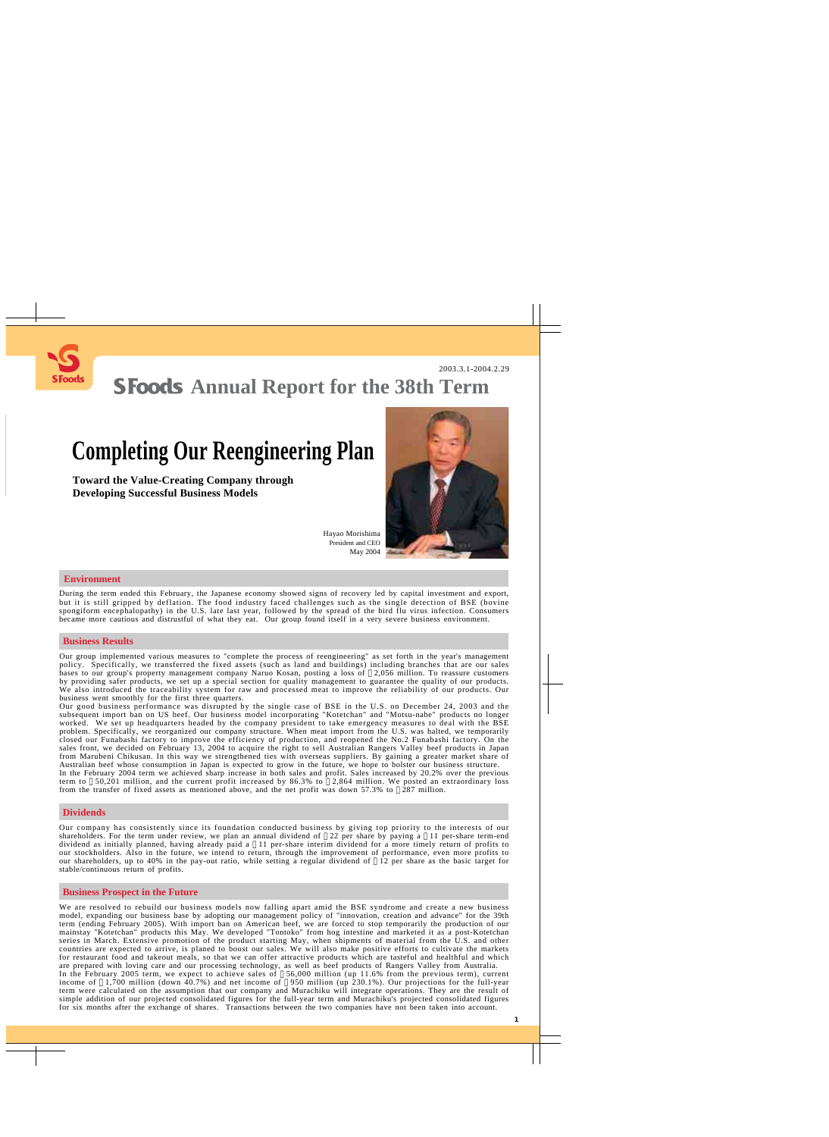

## **SFoods** Annual Report for the 38th Term

# **Completing Our Reengineering Plan**

**Toward the Value-Creating Company through Developing Successful Business Models**



Hayao Morishima President and CEO May 2004

#### **Environment**

During the term ended this February, the Japanese economy showed signs of recovery led by capital investment and export, but it is still gripped by deflation. The food industry faced challenges such as the single detection of BSE (bovine spongiform encephalopathy) in the U.S. late last year, followed by the spread of the bird flu virus infection. Consumers became more cautious and distrustful of what they eat. Our group found itself in a very severe business environment.

#### **Business Results**

Our group implemented various measures to "complete the process of reengineering" as set forth in the year's management policy. Specifically, we transferred the fixed assets (such as land and buildings) including branches that are our sales bases to our group's property management company Naruo Kosan, posting a loss of 2,056 million. To reassure customers by providing safer products, we set up a special section for quality management to guarantee the quality of our products. We also introduced the traceability system for raw and processed meat to improve the reliability of our products. Our business went smoothly for the first three quarters.

Our good business performance was disrupted by the single case of BSE in the U.S. on December 24, 2003 and the subsequent import ban on US beef. Our business model incorporating "Kotetchan" and "Motsu-nabe" products no longer worked. We set up headquarters headed by the company president to take emergency measures to deal with the BSE problem. Specifically, we reorganized our company structure. When meat import from the U.S. was halted, we temporarily closed our Funabashi factory to improve the efficiency of production, and reopened the No.2 Funabashi factory. On the sales front, we decided on February 13, 2004 to acquire the right to sell Australian Rangers Valley beef products in Japan from Marubeni Chikusan. In this way we strengthened ties with overseas suppliers. By gaining a greater market share of Australian beef whose consumption in Japan is expected to grow in the future, we hope to bolster our business structure.

In the February 2004 term we achieved sharp increase in both sales and profit. Sales increased by 20.2% over the previous term to 50,201 million, and the current profit increased by 86.3% to 2,864 million. We posted an extraordinary loss from the transfer of fixed assets as mentioned above, and the net profit was down 57.3% to 287 million.

#### **Dividends**

Our company has consistently since its foundation conducted business by giving top priority to the interests of our shareholders. For the term under review, we plan an annual dividend of 22 per share by paying a 11 per-share term-end dividend as initially planned, having already paid a 11 per-share interim dividend for a more timely return of profits to our stockholders. Also in the future, we intend to return, through the improvement of performance, even more profits to our shareholders, up to 40% in the pay-out ratio, while setting a regular dividend of 12 per share as the basic target for stable/continuous return of profits.

#### **Business Prospect in the Future**

We are resolved to rebuild our business models now falling apart amid the BSE syndrome and create a new business model, expanding our business base by adopting our management policy of "innovation, creation and advance" for the 39th term (ending February 2005). With import ban on American beef, we are forced to stop temporarily the production of our mainstay "Kotetchan" products this May. We developed "Tontoko" from hog intestine and marketed it as a post-Kotetchan series in March. Extensive promotion of the product starting May, when shipments of material from the U.S. and other countries are expected to arrive, is planed to boost our sales. We will also make positive efforts to cultivate the markets for restaurant food and takeout meals, so that we can offer attractive products which are tasteful and healthful and which are prepared with loving care and our processing technology, as well as beef products of Rangers Valley from Australia. In the February 2005 term, we expect to achieve sales of 56,000 million (up 11.6% from the previous term), current income of 1,700 million (down 40.7%) and net income of 950 million (up 230.1%). Our projections for the full-year term were calculated on the assumption that our company and Murachiku will integrate operations. They are the result of simple addition of our projected consolidated figures for the full-year term and Murachiku's projected consolidated figures for six months after the exchange of shares. Transactions between the two companies have not been taken into account.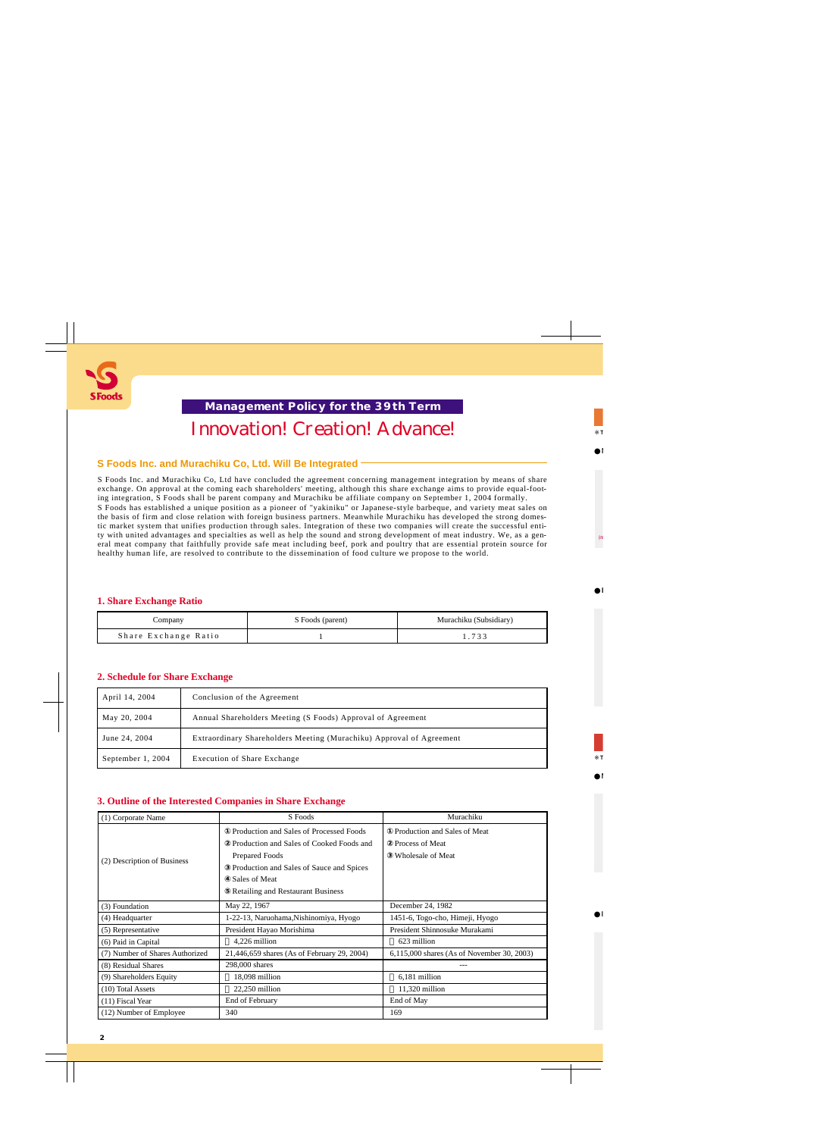

## **Innovation! Creation! Advance! Management Policy for the 39th Term**

## **S Foods Inc. and Murachiku Co, Ltd. Will Be Integrated**

S Foods Inc. and Murachiku Co, Ltd have concluded the agreement concerning management integration by means of share exchange. On approval at the coming each shareholders' meeting, although this share exchange aims to provide equal-footing integration, S Foods shall be parent company and Murachiku be affiliate company on September 1, 2004 formally. S Foods has established a unique position as a pioneer of "yakiniku" or Japanese-style barbeque, and variety meat sales on the basis of firm and close relation with foreign business partners. Meanwhile Murachiku has developed the strong domestic market system that unifies production through sales. Integration of these two companies will create the successful entity with united advantages and specialties as well as help the sound and strong development of meat industry. We, as a general meat company that faithfully provide safe meat including beef, pork and poultry that are essential protein source for healthy human life, are resolved to contribute to the dissemination of food culture we propose to the world.

## **1. Share Exchange Ratio**

| Company              | S Foods (parent) | Murachiku (Subsidiary) |
|----------------------|------------------|------------------------|
| Share Exchange Ratio |                  | $\sim$ $\sim$          |

## **2. Schedule for Share Exchange**

| April 14, 2004    | Conclusion of the Agreement                                          |
|-------------------|----------------------------------------------------------------------|
| May 20, 2004      | Annual Shareholders Meeting (S Foods) Approval of Agreement          |
| June 24, 2004     | Extraordinary Shareholders Meeting (Murachiku) Approval of Agreement |
| September 1, 2004 | Execution of Share Exchange                                          |

## **3. Outline of the Interested Companies in Share Exchange**

| (1) Corporate Name              | S Foods                                                                                                                                                                                                               | Murachiku                                                            |  |
|---------------------------------|-----------------------------------------------------------------------------------------------------------------------------------------------------------------------------------------------------------------------|----------------------------------------------------------------------|--|
| (2) Description of Business     | Production and Sales of Processed Foods<br>Production and Sales of Cooked Foods and<br><b>Prepared Foods</b><br>Production and Sales of Sauce and Spices<br>Sales of Meat<br><b>Retailing and Restaurant Business</b> | Production and Sales of Meat<br>Process of Meat<br>Wholesale of Meat |  |
| (3) Foundation                  | May 22, 1967                                                                                                                                                                                                          | December 24, 1982                                                    |  |
| (4) Headquarter                 | 1-22-13, Naruohama, Nishinomiya, Hyogo                                                                                                                                                                                | 1451-6, Togo-cho, Himeji, Hyogo                                      |  |
| (5) Representative              | President Hayao Morishima                                                                                                                                                                                             | President Shinnosuke Murakami                                        |  |
| (6) Paid in Capital             | 4,226 million                                                                                                                                                                                                         | 623 million                                                          |  |
| (7) Number of Shares Authorized | 21,446,659 shares (As of February 29, 2004)                                                                                                                                                                           | 6,115,000 shares (As of November 30, 2003)                           |  |
| (8) Residual Shares             | 298,000 shares                                                                                                                                                                                                        |                                                                      |  |
| (9) Shareholders Equity         | 18,098 million                                                                                                                                                                                                        | 6,181 million                                                        |  |
| (10) Total Assets               | $22,250$ million                                                                                                                                                                                                      | 11,320 million                                                       |  |
| $(11)$ Fiscal Year              | End of February                                                                                                                                                                                                       | End of May                                                           |  |
| (12) Number of Employee         | 340                                                                                                                                                                                                                   | 169                                                                  |  |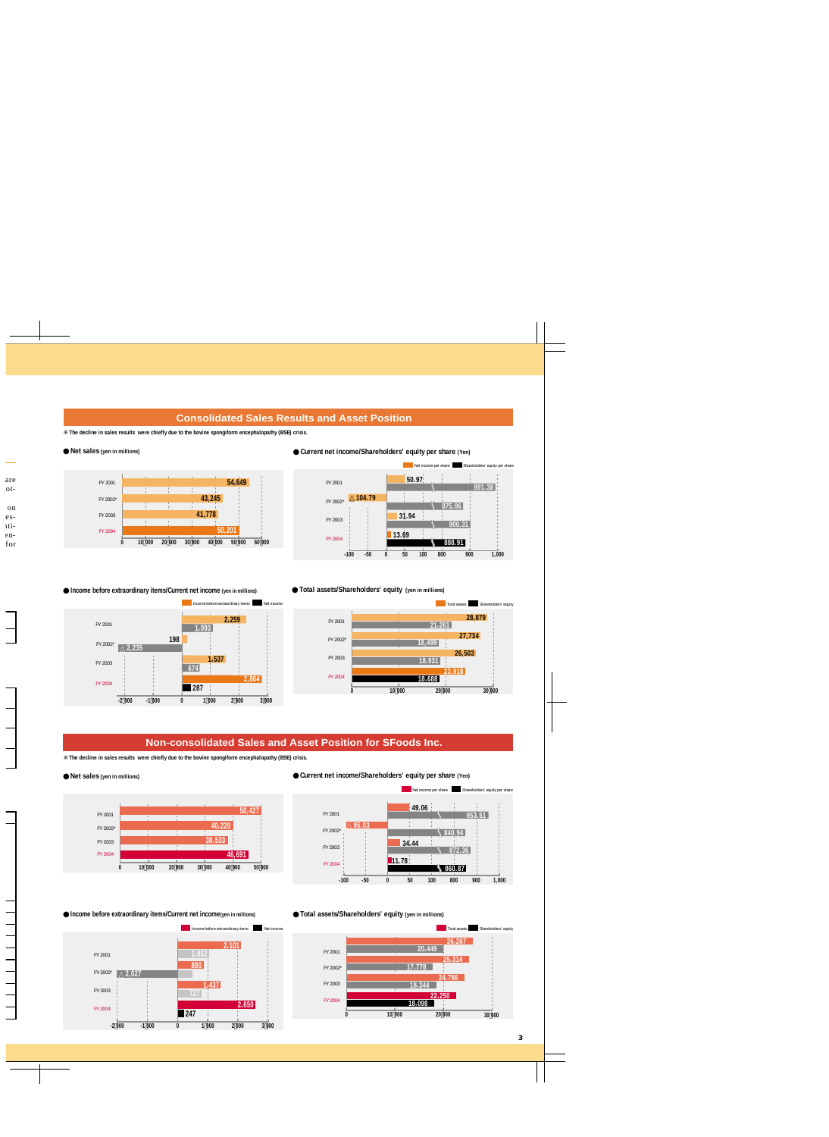## **Consolidated Sales Results and Asset Position**

**The decline in sales results were chiefly due to the bovine spongiform encephalopathy (BSE) crisis.**

#### **Net sales (yen in millions)**



**Income before extraordinary items/Current net income (yen in millions)**

**1,537** FY 2003

**198**

**<sup>287</sup>** FY 2004

**2,235**





**Total assets/Shareholders' equity (yen in millions)**



## **Non-consolidated Sales and Asset Position for SFoods Inc.**

**The decline in sales results were chiefly due to the bovine spongiform encephalopathy (BSE) crisis.**

**-2 000 -1 000 3 0 1 000 2 000 000**

**674**

**1,093**

Income before extraordinary items Net income

**2,259**

**2,864**

#### **Net sales (yen in millions)**

FY 2001

FY 2002\*



**Income before extraordinary items/Current net income(yen in millions)**



**Current net income/Shareholders' equity per share (Yen)**



#### **Total assets/Shareholders' equity (yen in millions)**



**3**